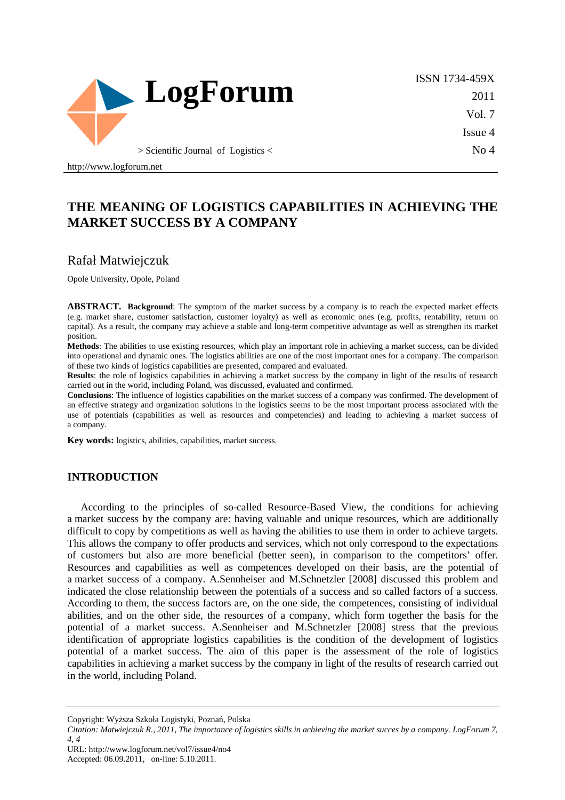

ISSN 1734-459X 2011 Vol. 7 Issue 4 No 4

http://www.logforum.net

# **THE MEANING OF LOGISTICS CAPABILITIES IN ACHIEVING THE MARKET SUCCESS BY A COMPANY**

### Rafał Matwiejczuk

Opole University, Opole, Poland

**ABSTRACT. Background**: The symptom of the market success by a company is to reach the expected market effects (e.g. market share, customer satisfaction, customer loyalty) as well as economic ones (e.g. profits, rentability, return on capital). As a result, the company may achieve a stable and long-term competitive advantage as well as strengthen its market position.

**Methods**: The abilities to use existing resources, which play an important role in achieving a market success, can be divided into operational and dynamic ones. The logistics abilities are one of the most important ones for a company. The comparison of these two kinds of logistics capabilities are presented, compared and evaluated.

**Results**: the role of logistics capabilities in achieving a market success by the company in light of the results of research carried out in the world, including Poland, was discussed, evaluated and confirmed.

**Conclusions**: The influence of logistics capabilities on the market success of a company was confirmed. The development of an effective strategy and organization solutions in the logistics seems to be the most important process associated with the use of potentials (capabilities as well as resources and competencies) and leading to achieving a market success of a company.

**Key words:** logistics, abilities, capabilities, market success.

#### **INTRODUCTION**

According to the principles of so-called Resource-Based View, the conditions for achieving a market success by the company are: having valuable and unique resources, which are additionally difficult to copy by competitions as well as having the abilities to use them in order to achieve targets. This allows the company to offer products and services, which not only correspond to the expectations of customers but also are more beneficial (better seen), in comparison to the competitors' offer. Resources and capabilities as well as competences developed on their basis, are the potential of a market success of a company. A.Sennheiser and M.Schnetzler [2008] discussed this problem and indicated the close relationship between the potentials of a success and so called factors of a success. According to them, the success factors are, on the one side, the competences, consisting of individual abilities, and on the other side, the resources of a company, which form together the basis for the potential of a market success. A.Sennheiser and M.Schnetzler [2008] stress that the previous identification of appropriate logistics capabilities is the condition of the development of logistics potential of a market success. The aim of this paper is the assessment of the role of logistics capabilities in achieving a market success by the company in light of the results of research carried out in the world, including Poland.

URL: http://www.logforum.net/vol7/issue4/no4 Accepted: 06.09.2011, on-line: 5.10.2011.

Copyright: Wyższa Szkoła Logistyki, Poznań, Polska

*Citation: Matwiejczuk R., 2011, The importance of logistics skills in achieving the market succes by a company. LogForum 7, 4, 4*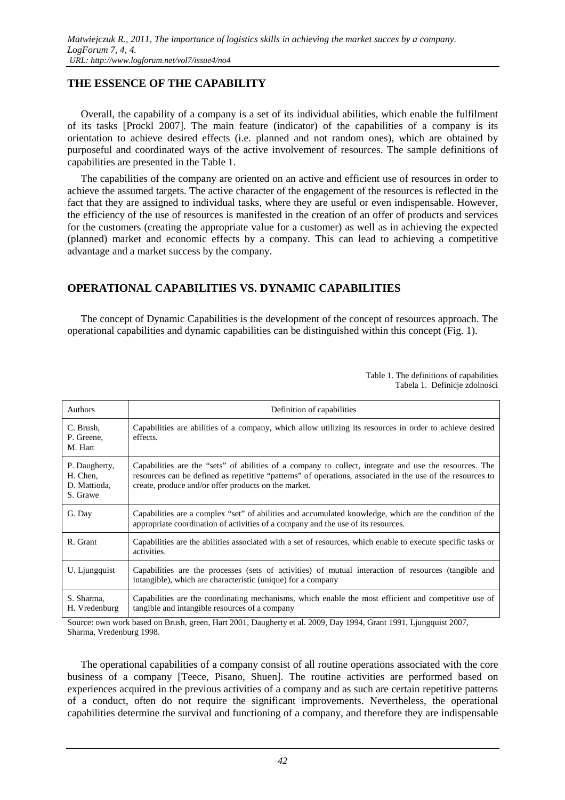#### **THE ESSENCE OF THE CAPABILITY**

Overall, the capability of a company is a set of its individual abilities, which enable the fulfilment of its tasks [Prockl 2007]. The main feature (indicator) of the capabilities of a company is its orientation to achieve desired effects (i.e. planned and not random ones), which are obtained by purposeful and coordinated ways of the active involvement of resources. The sample definitions of capabilities are presented in the Table 1.

The capabilities of the company are oriented on an active and efficient use of resources in order to achieve the assumed targets. The active character of the engagement of the resources is reflected in the fact that they are assigned to individual tasks, where they are useful or even indispensable. However, the efficiency of the use of resources is manifested in the creation of an offer of products and services for the customers (creating the appropriate value for a customer) as well as in achieving the expected (planned) market and economic effects by a company. This can lead to achieving a competitive advantage and a market success by the company.

### **OPERATIONAL CAPABILITIES VS. DYNAMIC CAPABILITIES**

The concept of Dynamic Capabilities is the development of the concept of resources approach. The operational capabilities and dynamic capabilities can be distinguished within this concept (Fig. 1).

> Table 1. The definitions of capabilities Tabela 1. Definicje zdolności

| <b>Authors</b>                                        | Definition of capabilities                                                                                                                                                                                                                                                   |
|-------------------------------------------------------|------------------------------------------------------------------------------------------------------------------------------------------------------------------------------------------------------------------------------------------------------------------------------|
| C. Brush,<br>P. Greene,<br>M. Hart                    | Capabilities are abilities of a company, which allow utilizing its resources in order to achieve desired<br>effects.                                                                                                                                                         |
| P. Daugherty,<br>H. Chen,<br>D. Mattioda,<br>S. Grawe | Capabilities are the "sets" of abilities of a company to collect, integrate and use the resources. The<br>resources can be defined as repetitive "patterns" of operations, associated in the use of the resources to<br>create, produce and/or offer products on the market. |
| G. Day                                                | Capabilities are a complex "set" of abilities and accumulated knowledge, which are the condition of the<br>appropriate coordination of activities of a company and the use of its resources.                                                                                 |
| R. Grant                                              | Capabilities are the abilities associated with a set of resources, which enable to execute specific tasks or<br>activities.                                                                                                                                                  |
| U. Ljungquist                                         | Capabilities are the processes (sets of activities) of mutual interaction of resources (tangible and<br>intangible), which are characteristic (unique) for a company                                                                                                         |
| S. Sharma,<br>H. Vredenburg                           | Capabilities are the coordinating mechanisms, which enable the most efficient and competitive use of<br>tangible and intangible resources of a company                                                                                                                       |

Source: own work based on Brush, green, Hart 2001, Daugherty et al. 2009, Day 1994, Grant 1991, Ljungquist 2007, Sharma, Vredenburg 1998.

The operational capabilities of a company consist of all routine operations associated with the core business of a company [Teece, Pisano, Shuen]. The routine activities are performed based on experiences acquired in the previous activities of a company and as such are certain repetitive patterns of a conduct, often do not require the significant improvements. Nevertheless, the operational capabilities determine the survival and functioning of a company, and therefore they are indispensable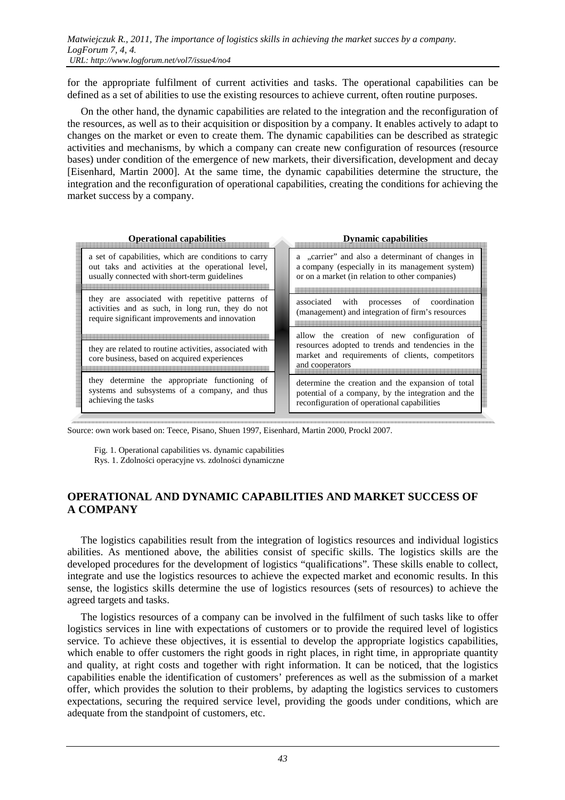for the appropriate fulfilment of current activities and tasks. The operational capabilities can be defined as a set of abilities to use the existing resources to achieve current, often routine purposes.

On the other hand, the dynamic capabilities are related to the integration and the reconfiguration of the resources, as well as to their acquisition or disposition by a company. It enables actively to adapt to changes on the market or even to create them. The dynamic capabilities can be described as strategic activities and mechanisms, by which a company can create new configuration of resources (resource bases) under condition of the emergence of new markets, their diversification, development and decay [Eisenhard, Martin 2000]. At the same time, the dynamic capabilities determine the structure, the integration and the reconfiguration of operational capabilities, creating the conditions for achieving the market success by a company.

| <b>Operational capabilities</b>                                                                                                                           | <b>Dynamic capabilities</b>                                                                                                                                           |
|-----------------------------------------------------------------------------------------------------------------------------------------------------------|-----------------------------------------------------------------------------------------------------------------------------------------------------------------------|
| a set of capabilities, which are conditions to carry<br>out taks and activities at the operational level,<br>usually connected with short-term guidelines | a "carrier" and also a determinant of changes in<br>a company (especially in its management system)<br>or on a market (in relation to other companies)                |
| they are associated with repetitive patterns of<br>activities and as such, in long run, they do not<br>require significant improvements and innovation    | processes of coordination<br>with<br>associated<br>(management) and integration of firm's resources                                                                   |
| they are related to routine activities, associated with<br>core business, based on acquired experiences                                                   | allow the creation of new configuration of<br>resources adopted to trends and tendencies in the<br>market and requirements of clients, competitors<br>and cooperators |
| they determine the appropriate functioning of<br>systems and subsystems of a company, and thus<br>achieving the tasks                                     | determine the creation and the expansion of total<br>potential of a company, by the integration and the<br>reconfiguration of operational capabilities                |

Source: own work based on: Teece, Pisano, Shuen 1997, Eisenhard, Martin 2000, Prockl 2007.

 Fig. 1. Operational capabilities vs. dynamic capabilities Rys. 1. Zdolności operacyjne vs. zdolności dynamiczne

### **OPERATIONAL AND DYNAMIC CAPABILITIES AND MARKET SUCCESS OF A COMPANY**

The logistics capabilities result from the integration of logistics resources and individual logistics abilities. As mentioned above, the abilities consist of specific skills. The logistics skills are the developed procedures for the development of logistics "qualifications". These skills enable to collect, integrate and use the logistics resources to achieve the expected market and economic results. In this sense, the logistics skills determine the use of logistics resources (sets of resources) to achieve the agreed targets and tasks.

The logistics resources of a company can be involved in the fulfilment of such tasks like to offer logistics services in line with expectations of customers or to provide the required level of logistics service. To achieve these objectives, it is essential to develop the appropriate logistics capabilities, which enable to offer customers the right goods in right places, in right time, in appropriate quantity and quality, at right costs and together with right information. It can be noticed, that the logistics capabilities enable the identification of customers' preferences as well as the submission of a market offer, which provides the solution to their problems, by adapting the logistics services to customers expectations, securing the required service level, providing the goods under conditions, which are adequate from the standpoint of customers, etc.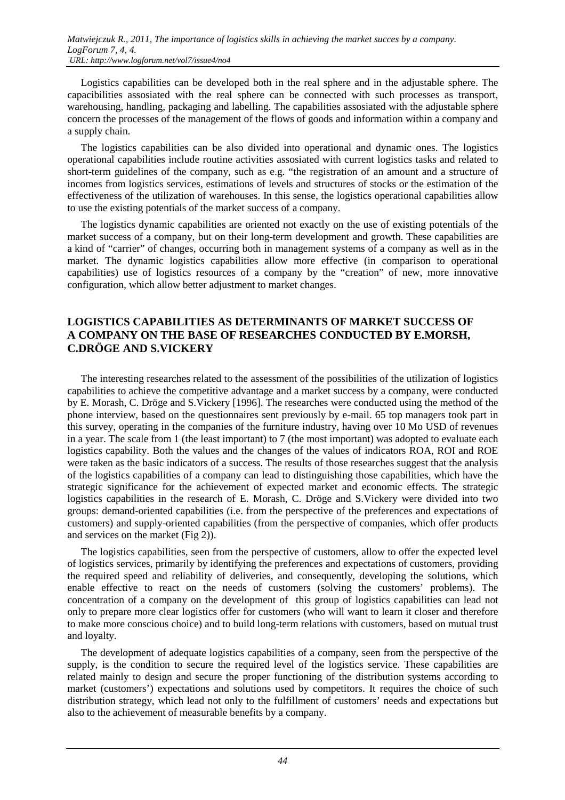Logistics capabilities can be developed both in the real sphere and in the adjustable sphere. The capacibilities assosiated with the real sphere can be connected with such processes as transport, warehousing, handling, packaging and labelling. The capabilities assosiated with the adjustable sphere concern the processes of the management of the flows of goods and information within a company and a supply chain.

The logistics capabilities can be also divided into operational and dynamic ones. The logistics operational capabilities include routine activities assosiated with current logistics tasks and related to short-term guidelines of the company, such as e.g. "the registration of an amount and a structure of incomes from logistics services, estimations of levels and structures of stocks or the estimation of the effectiveness of the utilization of warehouses. In this sense, the logistics operational capabilities allow to use the existing potentials of the market success of a company.

The logistics dynamic capabilities are oriented not exactly on the use of existing potentials of the market success of a company, but on their long-term development and growth. These capabilities are a kind of "carrier" of changes, occurring both in management systems of a company as well as in the market. The dynamic logistics capabilities allow more effective (in comparison to operational capabilities) use of logistics resources of a company by the "creation" of new, more innovative configuration, which allow better adjustment to market changes.

### **LOGISTICS CAPABILITIES AS DETERMINANTS OF MARKET SUCCESS OF A COMPANY ON THE BASE OF RESEARCHES CONDUCTED BY E.MORSH, C.DRÖGE AND S.VICKERY**

The interesting researches related to the assessment of the possibilities of the utilization of logistics capabilities to achieve the competitive advantage and a market success by a company, were conducted by E. Morash, C. Dröge and S.Vickery [1996]. The researches were conducted using the method of the phone interview, based on the questionnaires sent previously by e-mail. 65 top managers took part in this survey, operating in the companies of the furniture industry, having over 10 Mo USD of revenues in a year. The scale from 1 (the least important) to 7 (the most important) was adopted to evaluate each logistics capability. Both the values and the changes of the values of indicators ROA, ROI and ROE were taken as the basic indicators of a success. The results of those researches suggest that the analysis of the logistics capabilities of a company can lead to distinguishing those capabilities, which have the strategic significance for the achievement of expected market and economic effects. The strategic logistics capabilities in the research of E. Morash, C. Dröge and S.Vickery were divided into two groups: demand-oriented capabilities (i.e. from the perspective of the preferences and expectations of customers) and supply-oriented capabilities (from the perspective of companies, which offer products and services on the market (Fig 2)).

The logistics capabilities, seen from the perspective of customers, allow to offer the expected level of logistics services, primarily by identifying the preferences and expectations of customers, providing the required speed and reliability of deliveries, and consequently, developing the solutions, which enable effective to react on the needs of customers (solving the customers' problems). The concentration of a company on the development of this group of logistics capabilities can lead not only to prepare more clear logistics offer for customers (who will want to learn it closer and therefore to make more conscious choice) and to build long-term relations with customers, based on mutual trust and loyalty.

The development of adequate logistics capabilities of a company, seen from the perspective of the supply, is the condition to secure the required level of the logistics service. These capabilities are related mainly to design and secure the proper functioning of the distribution systems according to market (customers') expectations and solutions used by competitors. It requires the choice of such distribution strategy, which lead not only to the fulfillment of customers' needs and expectations but also to the achievement of measurable benefits by a company.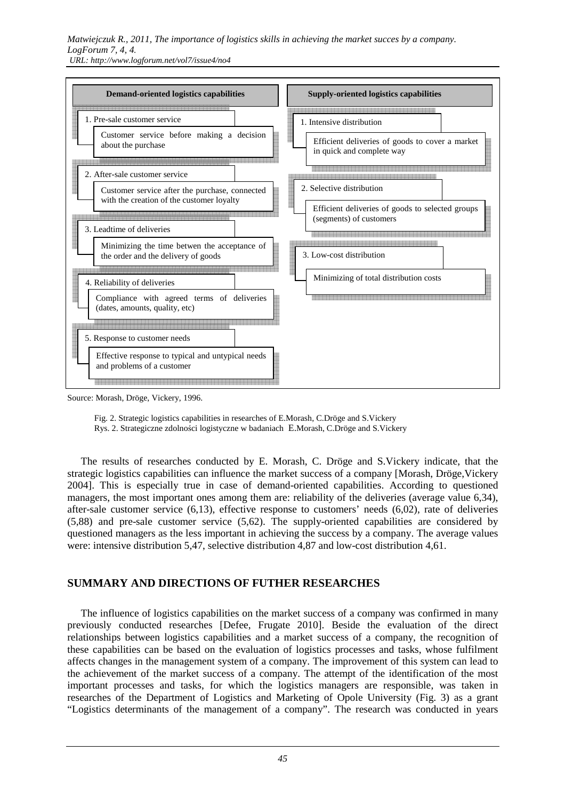

Source: Morash, Dröge, Vickery, 1996.

 Fig. 2. Strategic logistics capabilities in researches of E.Morash, C.Dröge and S.Vickery Rys. 2. Strategiczne zdolności logistyczne w badaniach E.Morash, C.Dröge and S.Vickery

The results of researches conducted by E. Morash, C. Dröge and S.Vickery indicate, that the strategic logistics capabilities can influence the market success of a company [Morash, Dröge,Vickery 2004]. This is especially true in case of demand-oriented capabilities. According to questioned managers, the most important ones among them are: reliability of the deliveries (average value 6,34), after-sale customer service (6,13), effective response to customers' needs (6,02), rate of deliveries (5,88) and pre-sale customer service (5,62). The supply-oriented capabilities are considered by questioned managers as the less important in achieving the success by a company. The average values were: intensive distribution 5,47, selective distribution 4,87 and low-cost distribution 4,61.

### **SUMMARY AND DIRECTIONS OF FUTHER RESEARCHES**

The influence of logistics capabilities on the market success of a company was confirmed in many previously conducted researches [Defee, Frugate 2010]. Beside the evaluation of the direct relationships between logistics capabilities and a market success of a company, the recognition of these capabilities can be based on the evaluation of logistics processes and tasks, whose fulfilment affects changes in the management system of a company. The improvement of this system can lead to the achievement of the market success of a company. The attempt of the identification of the most important processes and tasks, for which the logistics managers are responsible, was taken in researches of the Department of Logistics and Marketing of Opole University (Fig. 3) as a grant "Logistics determinants of the management of a company". The research was conducted in years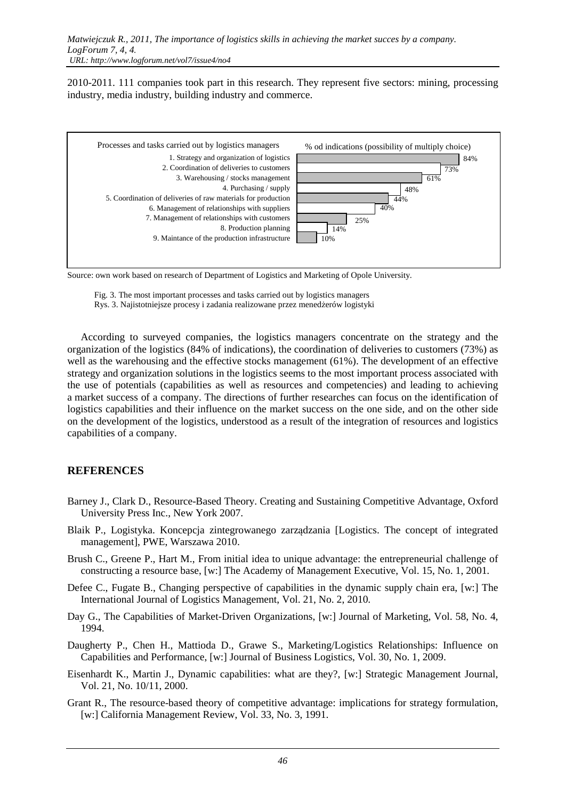2010-2011. 111 companies took part in this research. They represent five sectors: mining, processing industry, media industry, building industry and commerce.



Source: own work based on research of Department of Logistics and Marketing of Opole University.

 Fig. 3. The most important processes and tasks carried out by logistics managers Rys. 3. Najistotniejsze procesy i zadania realizowane przez menedżerów logistyki

According to surveyed companies, the logistics managers concentrate on the strategy and the organization of the logistics (84% of indications), the coordination of deliveries to customers (73%) as well as the warehousing and the effective stocks management (61%). The development of an effective strategy and organization solutions in the logistics seems to the most important process associated with the use of potentials (capabilities as well as resources and competencies) and leading to achieving a market success of a company. The directions of further researches can focus on the identification of logistics capabilities and their influence on the market success on the one side, and on the other side on the development of the logistics, understood as a result of the integration of resources and logistics capabilities of a company.

#### **REFERENCES**

- Barney J., Clark D., Resource-Based Theory. Creating and Sustaining Competitive Advantage, Oxford University Press Inc., New York 2007.
- Blaik P., Logistyka. Koncepcja zintegrowanego zarządzania [Logistics. The concept of integrated management], PWE, Warszawa 2010.
- Brush C., Greene P., Hart M., From initial idea to unique advantage: the entrepreneurial challenge of constructing a resource base, [w:] The Academy of Management Executive, Vol. 15, No. 1, 2001.
- Defee C., Fugate B., Changing perspective of capabilities in the dynamic supply chain era, [w:] The International Journal of Logistics Management, Vol. 21, No. 2, 2010.
- Day G., The Capabilities of Market-Driven Organizations, [w:] Journal of Marketing, Vol. 58, No. 4, 1994.
- Daugherty P., Chen H., Mattioda D., Grawe S., Marketing/Logistics Relationships: Influence on Capabilities and Performance, [w:] Journal of Business Logistics, Vol. 30, No. 1, 2009.
- Eisenhardt K., Martin J., Dynamic capabilities: what are they?, [w:] Strategic Management Journal, Vol. 21, No. 10/11, 2000.
- Grant R., The resource-based theory of competitive advantage: implications for strategy formulation, [w:] California Management Review, Vol. 33, No. 3, 1991.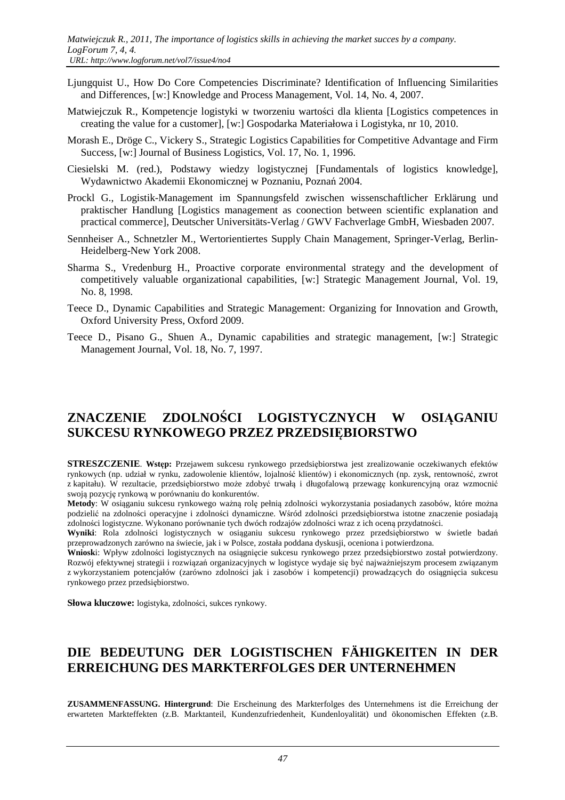- Ljungquist U., How Do Core Competencies Discriminate? Identification of Influencing Similarities and Differences, [w:] Knowledge and Process Management, Vol. 14, No. 4, 2007.
- Matwiejczuk R., Kompetencje logistyki w tworzeniu wartości dla klienta [Logistics competences in creating the value for a customer], [w:] Gospodarka Materiałowa i Logistyka, nr 10, 2010.
- Morash E., Dröge C., Vickery S., Strategic Logistics Capabilities for Competitive Advantage and Firm Success, [w:] Journal of Business Logistics, Vol. 17, No. 1, 1996.
- Ciesielski M. (red.), Podstawy wiedzy logistycznej [Fundamentals of logistics knowledge], Wydawnictwo Akademii Ekonomicznej w Poznaniu, Poznań 2004.
- Prockl G., Logistik-Management im Spannungsfeld zwischen wissenschaftlicher Erklärung und praktischer Handlung [Logistics management as coonection between scientific explanation and practical commerce], Deutscher Universitäts-Verlag / GWV Fachverlage GmbH, Wiesbaden 2007.
- Sennheiser A., Schnetzler M., Wertorientiertes Supply Chain Management, Springer-Verlag, Berlin-Heidelberg-New York 2008.
- Sharma S., Vredenburg H., Proactive corporate environmental strategy and the development of competitively valuable organizational capabilities, [w:] Strategic Management Journal, Vol. 19, No. 8, 1998.
- Teece D., Dynamic Capabilities and Strategic Management: Organizing for Innovation and Growth, Oxford University Press, Oxford 2009.
- Teece D., Pisano G., Shuen A., Dynamic capabilities and strategic management, [w:] Strategic Management Journal, Vol. 18, No. 7, 1997.

# **ZNACZENIE ZDOLNOŚCI LOGISTYCZNYCH W OSIĄGANIU SUKCESU RYNKOWEGO PRZEZ PRZEDSIĘBIORSTWO**

**STRESZCZENIE**. **Wstęp:** Przejawem sukcesu rynkowego przedsiębiorstwa jest zrealizowanie oczekiwanych efektów rynkowych (np. udział w rynku, zadowolenie klientów, lojalność klientów) i ekonomicznych (np. zysk, rentowność, zwrot z kapitału). W rezultacie, przedsiębiorstwo może zdobyć trwałą i długofalową przewagę konkurencyjną oraz wzmocnić swoją pozycję rynkową w porównaniu do konkurentów.

**Metody**: W osiąganiu sukcesu rynkowego ważną rolę pełnią zdolności wykorzystania posiadanych zasobów, które można podzielić na zdolności operacyjne i zdolności dynamiczne. Wśród zdolności przedsiębiorstwa istotne znaczenie posiadają zdolności logistyczne. Wykonano porównanie tych dwóch rodzajów zdolności wraz z ich oceną przydatności.

**Wyniki**: Rola zdolności logistycznych w osiąganiu sukcesu rynkowego przez przedsiębiorstwo w świetle badań przeprowadzonych zarówno na świecie, jak i w Polsce, została poddana dyskusji, oceniona i potwierdzona.

**Wniosk**i: Wpływ zdolności logistycznych na osiągnięcie sukcesu rynkowego przez przedsiębiorstwo został potwierdzony. Rozwój efektywnej strategii i rozwiązań organizacyjnych w logistyce wydaje się być najważniejszym procesem związanym z wykorzystaniem potencjałów (zarówno zdolności jak i zasobów i kompetencji) prowadzących do osiągnięcia sukcesu rynkowego przez przedsiębiorstwo.

**Słowa kluczowe:** logistyka, zdolności, sukces rynkowy.

## **DIE BEDEUTUNG DER LOGISTISCHEN FÄHIGKEITEN IN DER ERREICHUNG DES MARKTERFOLGES DER UNTERNEHMEN**

**ZUSAMMENFASSUNG. Hintergrund**: Die Erscheinung des Markterfolges des Unternehmens ist die Erreichung der erwarteten Markteffekten (z.B. Marktanteil, Kundenzufriedenheit, Kundenloyalität) und ökonomischen Effekten (z.B.